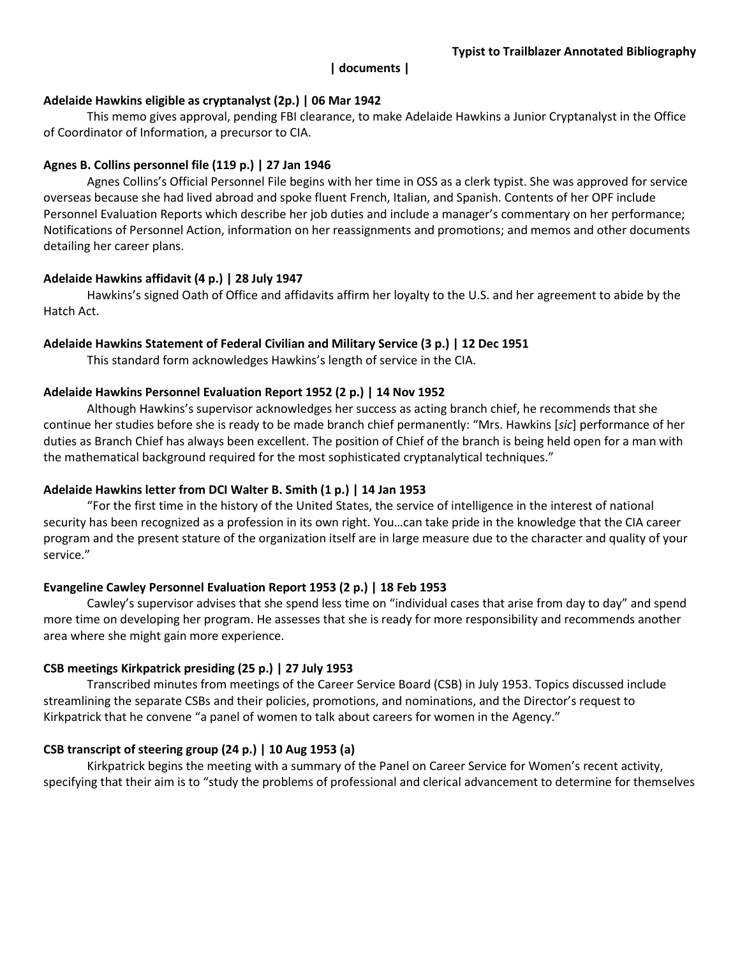### **| documents |**

## **Adelaide Hawkins eligible as cryptanalyst (2p.) | 06 Mar 1942**

This memo gives approval, pending FBI clearance, to make Adelaide Hawkins a Junior Cryptanalyst in the Office of Coordinator of Information, a precursor to CIA.

## **Agnes B. Collins personnel file (119 p.) | 27 Jan 1946**

Agnes Collins's Official Personnel File begins with her time in OSS as a clerk typist. She was approved for service overseas because she had lived abroad and spoke fluent French, Italian, and Spanish. Contents of her OPF include Personnel Evaluation Reports which describe her job duties and include a manager's commentary on her performance; Notifications of Personnel Action, information on her reassignments and promotions; and memos and other documents detailing her career plans.

## **Adelaide Hawkins affidavit (4 p.) | 28 July 1947**

Hawkins's signed Oath of Office and affidavits affirm her loyalty to the U.S. and her agreement to abide by the Hatch Act.

## **Adelaide Hawkins Statement of Federal Civilian and Military Service (3 p.) | 12 Dec 1951**

This standard form acknowledges Hawkins's length of service in the CIA.

## **Adelaide Hawkins Personnel Evaluation Report 1952 (2 p.) | 14 Nov 1952**

Although Hawkins's supervisor acknowledges her success as acting branch chief, he recommends that she continue her studies before she is ready to be made branch chief permanently: "Mrs. Hawkins [*sic*] performance of her duties as Branch Chief has always been excellent. The position of Chief of the branch is being held open for a man with the mathematical background required for the most sophisticated cryptanalytical techniques."

# **Adelaide Hawkins letter from DCI Walter B. Smith (1 p.) | 14 Jan 1953**

"For the first time in the history of the United States, the service of intelligence in the interest of national security has been recognized as a profession in its own right. You…can take pride in the knowledge that the CIA career program and the present stature of the organization itself are in large measure due to the character and quality of your service."

# **Evangeline Cawley Personnel Evaluation Report 1953 (2 p.) | 18 Feb 1953**

Cawley's supervisor advises that she spend less time on "individual cases that arise from day to day" and spend more time on developing her program. He assesses that she is ready for more responsibility and recommends another area where she might gain more experience.

#### **CSB meetings Kirkpatrick presiding (25 p.) | 27 July 1953**

Transcribed minutes from meetings of the Career Service Board (CSB) in July 1953. Topics discussed include streamlining the separate CSBs and their policies, promotions, and nominations, and the Director's request to Kirkpatrick that he convene "a panel of women to talk about careers for women in the Agency."

# **CSB transcript of steering group (24 p.) | 10 Aug 1953 (a)**

Kirkpatrick begins the meeting with a summary of the Panel on Career Service for Women's recent activity, specifying that their aim is to "study the problems of professional and clerical advancement to determine for themselves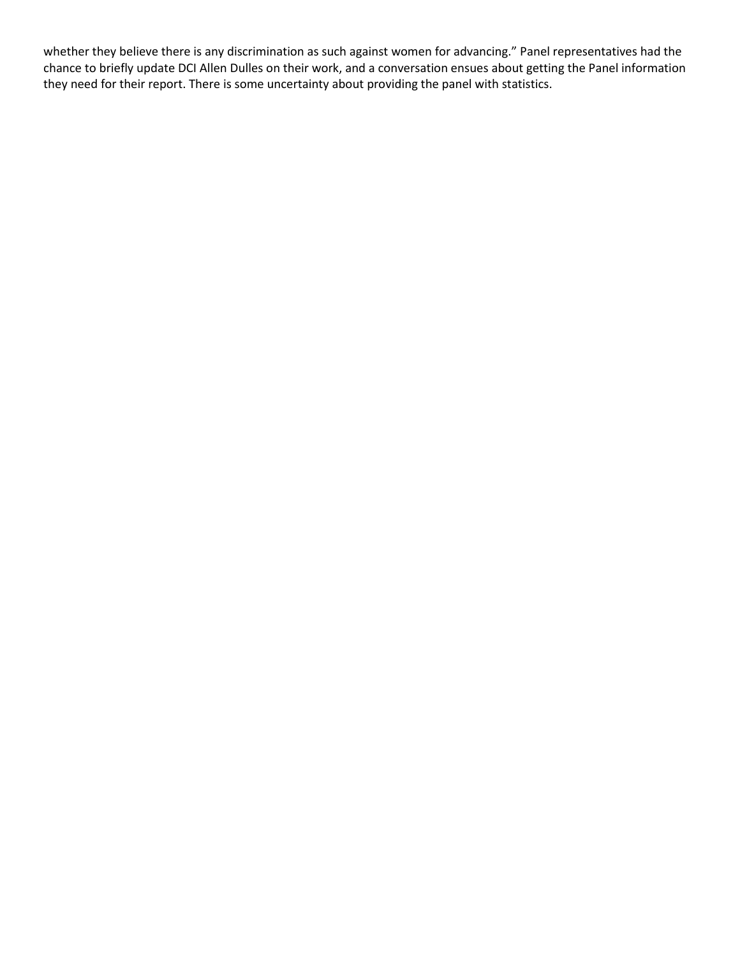whether they believe there is any discrimination as such against women for advancing." Panel representatives had the chance to briefly update DCI Allen Dulles on their work, and a conversation ensues about getting the Panel information they need for their report. There is some uncertainty about providing the panel with statistics.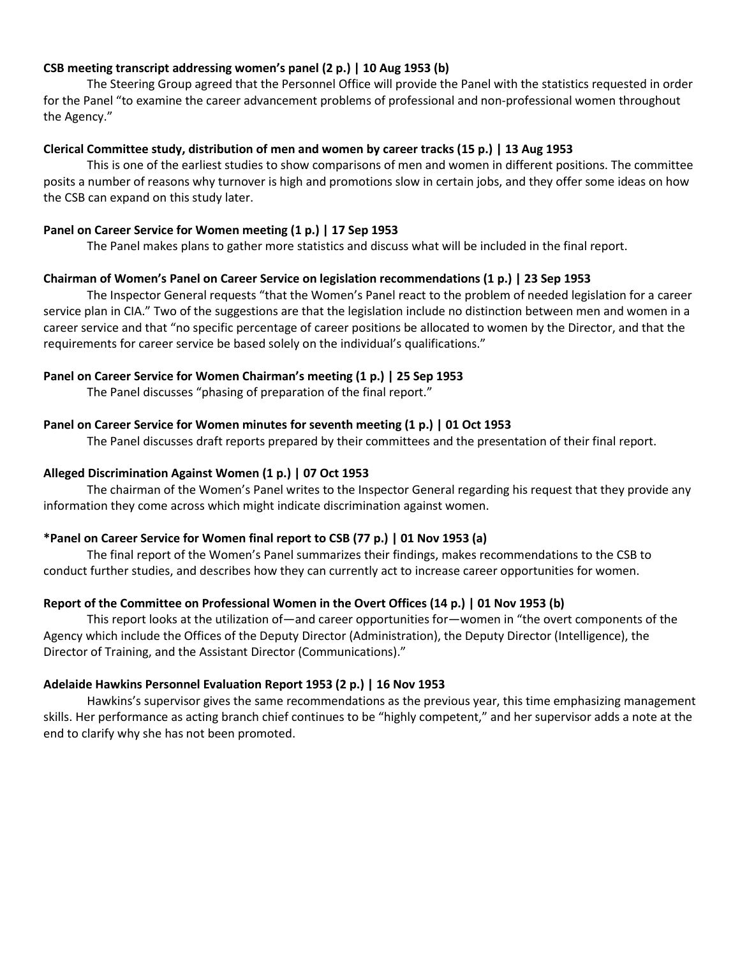# **CSB meeting transcript addressing women's panel (2 p.) | 10 Aug 1953 (b)**

The Steering Group agreed that the Personnel Office will provide the Panel with the statistics requested in order for the Panel "to examine the career advancement problems of professional and non-professional women throughout the Agency."

### **Clerical Committee study, distribution of men and women by career tracks (15 p.) | 13 Aug 1953**

This is one of the earliest studies to show comparisons of men and women in different positions. The committee posits a number of reasons why turnover is high and promotions slow in certain jobs, and they offer some ideas on how the CSB can expand on this study later.

## **Panel on Career Service for Women meeting (1 p.) | 17 Sep 1953**

The Panel makes plans to gather more statistics and discuss what will be included in the final report.

## **Chairman of Women's Panel on Career Service on legislation recommendations (1 p.) | 23 Sep 1953**

The Inspector General requests "that the Women's Panel react to the problem of needed legislation for a career service plan in CIA." Two of the suggestions are that the legislation include no distinction between men and women in a career service and that "no specific percentage of career positions be allocated to women by the Director, and that the requirements for career service be based solely on the individual's qualifications."

## **Panel on Career Service for Women Chairman's meeting (1 p.) | 25 Sep 1953**

The Panel discusses "phasing of preparation of the final report."

## **Panel on Career Service for Women minutes for seventh meeting (1 p.) | 01 Oct 1953**

The Panel discusses draft reports prepared by their committees and the presentation of their final report.

#### **Alleged Discrimination Against Women (1 p.) | 07 Oct 1953**

The chairman of the Women's Panel writes to the Inspector General regarding his request that they provide any information they come across which might indicate discrimination against women.

#### **\*Panel on Career Service for Women final report to CSB (77 p.) | 01 Nov 1953 (a)**

The final report of the Women's Panel summarizes their findings, makes recommendations to the CSB to conduct further studies, and describes how they can currently act to increase career opportunities for women.

## **Report of the Committee on Professional Women in the Overt Offices (14 p.) | 01 Nov 1953 (b)**

This report looks at the utilization of—and career opportunities for—women in "the overt components of the Agency which include the Offices of the Deputy Director (Administration), the Deputy Director (Intelligence), the Director of Training, and the Assistant Director (Communications)."

## **Adelaide Hawkins Personnel Evaluation Report 1953 (2 p.) | 16 Nov 1953**

Hawkins's supervisor gives the same recommendations as the previous year, this time emphasizing management skills. Her performance as acting branch chief continues to be "highly competent," and her supervisor adds a note at the end to clarify why she has not been promoted.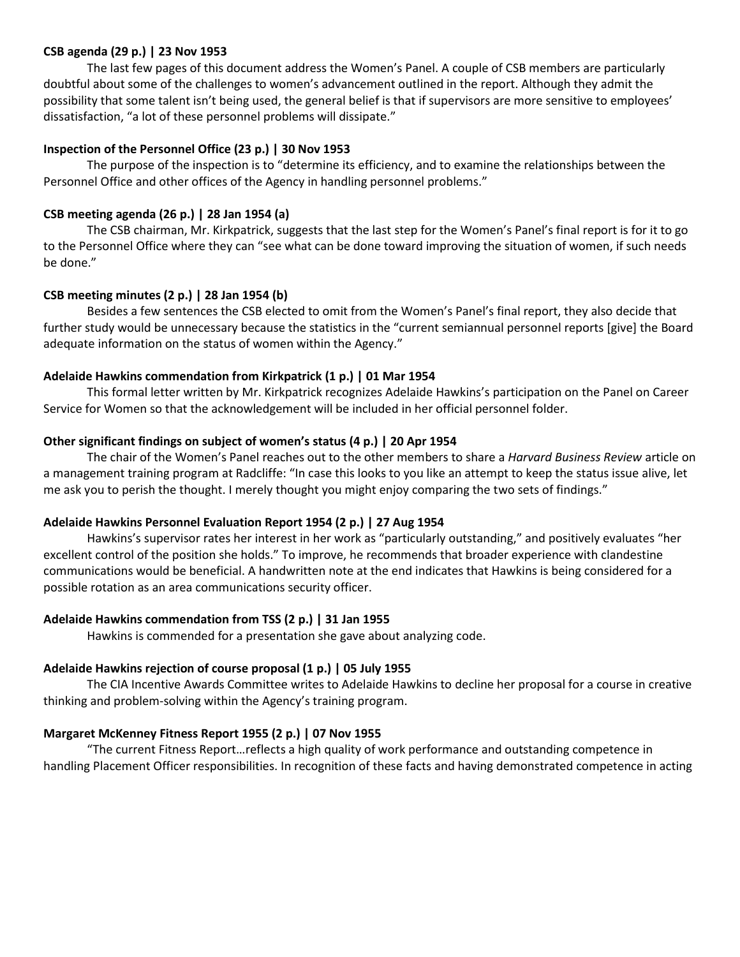# **CSB agenda (29 p.) | 23 Nov 1953**

The last few pages of this document address the Women's Panel. A couple of CSB members are particularly doubtful about some of the challenges to women's advancement outlined in the report. Although they admit the possibility that some talent isn't being used, the general belief is that if supervisors are more sensitive to employees' dissatisfaction, "a lot of these personnel problems will dissipate."

# **Inspection of the Personnel Office (23 p.) | 30 Nov 1953**

The purpose of the inspection is to "determine its efficiency, and to examine the relationships between the Personnel Office and other offices of the Agency in handling personnel problems."

# **CSB meeting agenda (26 p.) | 28 Jan 1954 (a)**

The CSB chairman, Mr. Kirkpatrick, suggests that the last step for the Women's Panel's final report is for it to go to the Personnel Office where they can "see what can be done toward improving the situation of women, if such needs be done."

# **CSB meeting minutes (2 p.) | 28 Jan 1954 (b)**

Besides a few sentences the CSB elected to omit from the Women's Panel's final report, they also decide that further study would be unnecessary because the statistics in the "current semiannual personnel reports [give] the Board adequate information on the status of women within the Agency."

# **Adelaide Hawkins commendation from Kirkpatrick (1 p.) | 01 Mar 1954**

This formal letter written by Mr. Kirkpatrick recognizes Adelaide Hawkins's participation on the Panel on Career Service for Women so that the acknowledgement will be included in her official personnel folder.

# **Other significant findings on subject of women's status (4 p.) | 20 Apr 1954**

The chair of the Women's Panel reaches out to the other members to share a *Harvard Business Review* article on a management training program at Radcliffe: "In case this looks to you like an attempt to keep the status issue alive, let me ask you to perish the thought. I merely thought you might enjoy comparing the two sets of findings."

# **Adelaide Hawkins Personnel Evaluation Report 1954 (2 p.) | 27 Aug 1954**

Hawkins's supervisor rates her interest in her work as "particularly outstanding," and positively evaluates "her excellent control of the position she holds." To improve, he recommends that broader experience with clandestine communications would be beneficial. A handwritten note at the end indicates that Hawkins is being considered for a possible rotation as an area communications security officer.

# **Adelaide Hawkins commendation from TSS (2 p.) | 31 Jan 1955**

Hawkins is commended for a presentation she gave about analyzing code.

# **Adelaide Hawkins rejection of course proposal (1 p.) | 05 July 1955**

The CIA Incentive Awards Committee writes to Adelaide Hawkins to decline her proposal for a course in creative thinking and problem‐solving within the Agency's training program.

# **Margaret McKenney Fitness Report 1955 (2 p.) | 07 Nov 1955**

"The current Fitness Report…reflects a high quality of work performance and outstanding competence in handling Placement Officer responsibilities. In recognition of these facts and having demonstrated competence in acting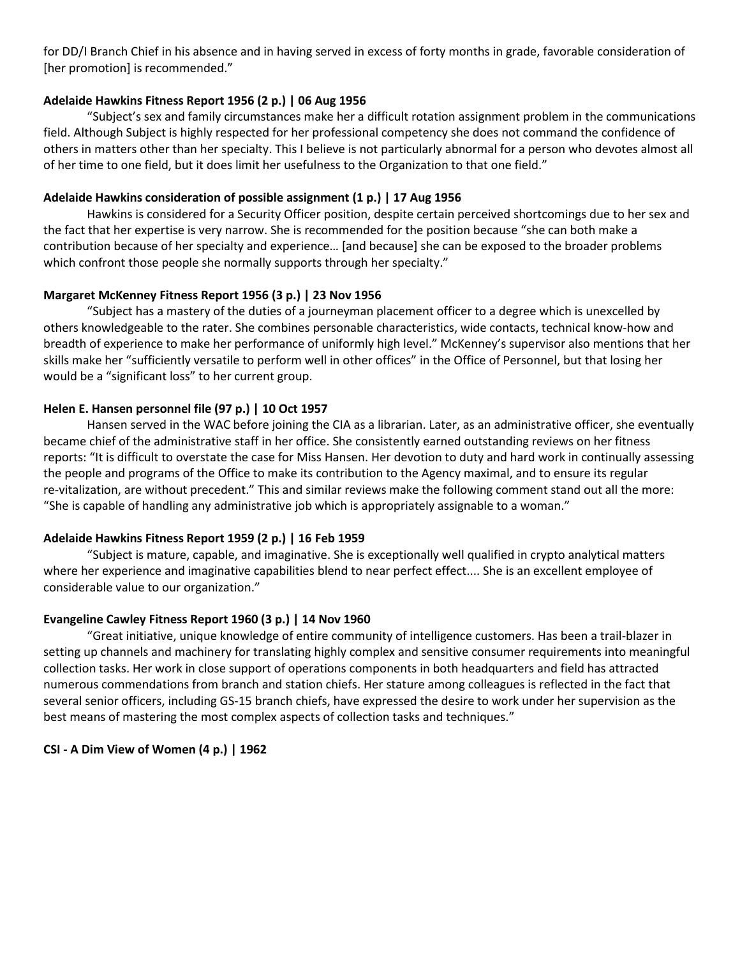for DD/I Branch Chief in his absence and in having served in excess of forty months in grade, favorable consideration of [her promotion] is recommended."

# **Adelaide Hawkins Fitness Report 1956 (2 p.) | 06 Aug 1956**

"Subject's sex and family circumstances make her a difficult rotation assignment problem in the communications field. Although Subject is highly respected for her professional competency she does not command the confidence of others in matters other than her specialty. This I believe is not particularly abnormal for a person who devotes almost all of her time to one field, but it does limit her usefulness to the Organization to that one field."

# **Adelaide Hawkins consideration of possible assignment (1 p.) | 17 Aug 1956**

Hawkins is considered for a Security Officer position, despite certain perceived shortcomings due to her sex and the fact that her expertise is very narrow. She is recommended for the position because "she can both make a contribution because of her specialty and experience… [and because] she can be exposed to the broader problems which confront those people she normally supports through her specialty."

# **Margaret McKenney Fitness Report 1956 (3 p.) | 23 Nov 1956**

"Subject has a mastery of the duties of a journeyman placement officer to a degree which is unexcelled by others knowledgeable to the rater. She combines personable characteristics, wide contacts, technical know‐how and breadth of experience to make her performance of uniformly high level." McKenney's supervisor also mentions that her skills make her "sufficiently versatile to perform well in other offices" in the Office of Personnel, but that losing her would be a "significant loss" to her current group.

# **Helen E. Hansen personnel file (97 p.) | 10 Oct 1957**

Hansen served in the WAC before joining the CIA as a librarian. Later, as an administrative officer, she eventually became chief of the administrative staff in her office. She consistently earned outstanding reviews on her fitness reports: "It is difficult to overstate the case for Miss Hansen. Her devotion to duty and hard work in continually assessing the people and programs of the Office to make its contribution to the Agency maximal, and to ensure its regular re-vitalization, are without precedent." This and similar reviews make the following comment stand out all the more: "She is capable of handling any administrative job which is appropriately assignable to a woman."

# **Adelaide Hawkins Fitness Report 1959 (2 p.) | 16 Feb 1959**

"Subject is mature, capable, and imaginative. She is exceptionally well qualified in crypto analytical matters where her experience and imaginative capabilities blend to near perfect effect.... She is an excellent employee of considerable value to our organization."

# **Evangeline Cawley Fitness Report 1960 (3 p.) | 14 Nov 1960**

"Great initiative, unique knowledge of entire community of intelligence customers. Has been a trail‐blazer in setting up channels and machinery for translating highly complex and sensitive consumer requirements into meaningful collection tasks. Her work in close support of operations components in both headquarters and field has attracted numerous commendations from branch and station chiefs. Her stature among colleagues is reflected in the fact that several senior officers, including GS‐15 branch chiefs, have expressed the desire to work under her supervision as the best means of mastering the most complex aspects of collection tasks and techniques."

# **CSI ‐ A Dim View of Women (4 p.) | 1962**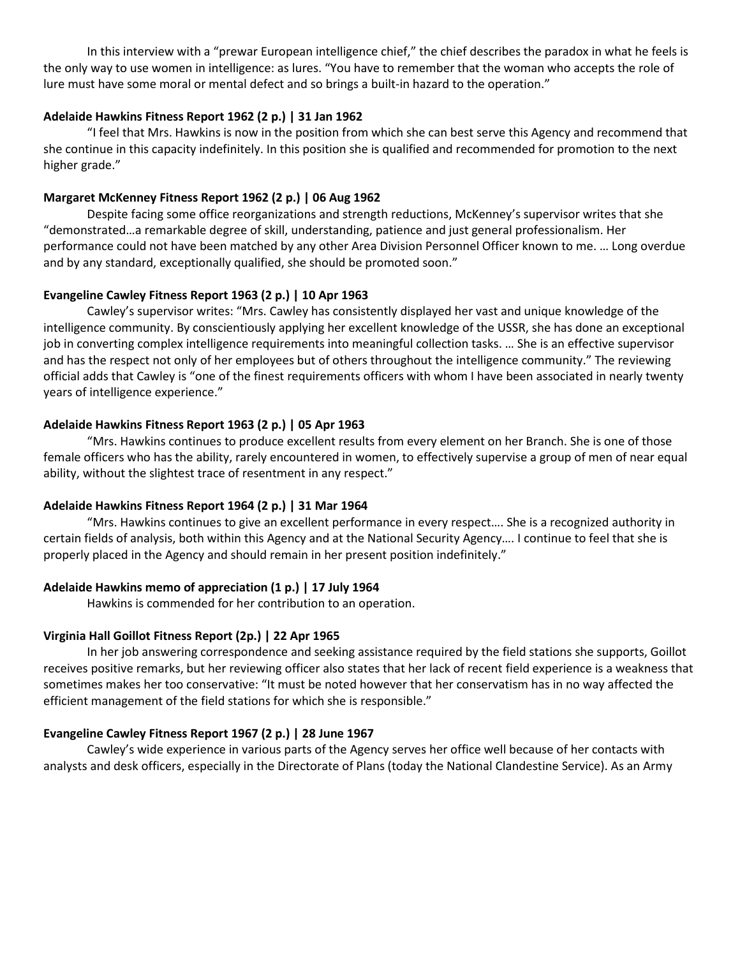In this interview with a "prewar European intelligence chief," the chief describes the paradox in what he feels is the only way to use women in intelligence: as lures. "You have to remember that the woman who accepts the role of lure must have some moral or mental defect and so brings a built-in hazard to the operation."

# **Adelaide Hawkins Fitness Report 1962 (2 p.) | 31 Jan 1962**

"I feel that Mrs. Hawkins is now in the position from which she can best serve this Agency and recommend that she continue in this capacity indefinitely. In this position she is qualified and recommended for promotion to the next higher grade."

# **Margaret McKenney Fitness Report 1962 (2 p.) | 06 Aug 1962**

Despite facing some office reorganizations and strength reductions, McKenney's supervisor writes that she "demonstrated…a remarkable degree of skill, understanding, patience and just general professionalism. Her performance could not have been matched by any other Area Division Personnel Officer known to me. … Long overdue and by any standard, exceptionally qualified, she should be promoted soon."

## **Evangeline Cawley Fitness Report 1963 (2 p.) | 10 Apr 1963**

Cawley's supervisor writes: "Mrs. Cawley has consistently displayed her vast and unique knowledge of the intelligence community. By conscientiously applying her excellent knowledge of the USSR, she has done an exceptional job in converting complex intelligence requirements into meaningful collection tasks. … She is an effective supervisor and has the respect not only of her employees but of others throughout the intelligence community." The reviewing official adds that Cawley is "one of the finest requirements officers with whom I have been associated in nearly twenty years of intelligence experience."

## **Adelaide Hawkins Fitness Report 1963 (2 p.) | 05 Apr 1963**

"Mrs. Hawkins continues to produce excellent results from every element on her Branch. She is one of those female officers who has the ability, rarely encountered in women, to effectively supervise a group of men of near equal ability, without the slightest trace of resentment in any respect."

# **Adelaide Hawkins Fitness Report 1964 (2 p.) | 31 Mar 1964**

"Mrs. Hawkins continues to give an excellent performance in every respect…. She is a recognized authority in certain fields of analysis, both within this Agency and at the National Security Agency…. I continue to feel that she is properly placed in the Agency and should remain in her present position indefinitely."

# **Adelaide Hawkins memo of appreciation (1 p.) | 17 July 1964**

Hawkins is commended for her contribution to an operation.

# **Virginia Hall Goillot Fitness Report (2p.) | 22 Apr 1965**

In her job answering correspondence and seeking assistance required by the field stations she supports, Goillot receives positive remarks, but her reviewing officer also states that her lack of recent field experience is a weakness that sometimes makes her too conservative: "It must be noted however that her conservatism has in no way affected the efficient management of the field stations for which she is responsible."

#### **Evangeline Cawley Fitness Report 1967 (2 p.) | 28 June 1967**

Cawley's wide experience in various parts of the Agency serves her office well because of her contacts with analysts and desk officers, especially in the Directorate of Plans (today the National Clandestine Service). As an Army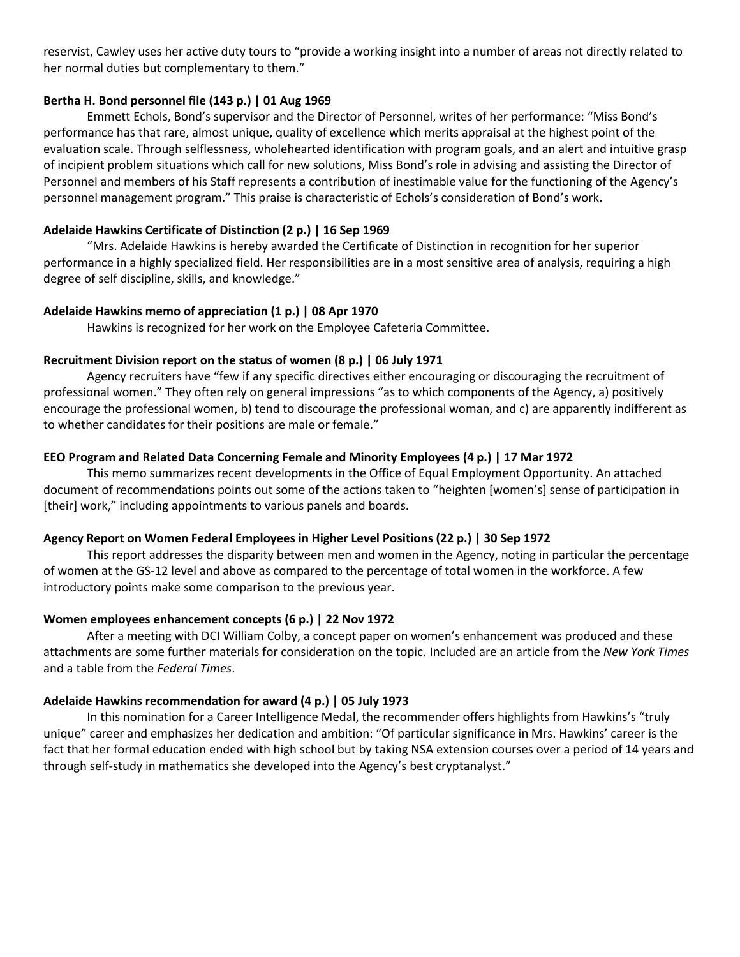reservist, Cawley uses her active duty tours to "provide a working insight into a number of areas not directly related to her normal duties but complementary to them."

# **Bertha H. Bond personnel file (143 p.) | 01 Aug 1969**

Emmett Echols, Bond's supervisor and the Director of Personnel, writes of her performance: "Miss Bond's performance has that rare, almost unique, quality of excellence which merits appraisal at the highest point of the evaluation scale. Through selflessness, wholehearted identification with program goals, and an alert and intuitive grasp of incipient problem situations which call for new solutions, Miss Bond's role in advising and assisting the Director of Personnel and members of his Staff represents a contribution of inestimable value for the functioning of the Agency's personnel management program." This praise is characteristic of Echols's consideration of Bond's work.

# **Adelaide Hawkins Certificate of Distinction (2 p.) | 16 Sep 1969**

"Mrs. Adelaide Hawkins is hereby awarded the Certificate of Distinction in recognition for her superior performance in a highly specialized field. Her responsibilities are in a most sensitive area of analysis, requiring a high degree of self discipline, skills, and knowledge."

# **Adelaide Hawkins memo of appreciation (1 p.) | 08 Apr 1970**

Hawkins is recognized for her work on the Employee Cafeteria Committee.

# **Recruitment Division report on the status of women (8 p.) | 06 July 1971**

Agency recruiters have "few if any specific directives either encouraging or discouraging the recruitment of professional women." They often rely on general impressions "as to which components of the Agency, a) positively encourage the professional women, b) tend to discourage the professional woman, and c) are apparently indifferent as to whether candidates for their positions are male or female."

# **EEO Program and Related Data Concerning Female and Minority Employees (4 p.) | 17 Mar 1972**

This memo summarizes recent developments in the Office of Equal Employment Opportunity. An attached document of recommendations points out some of the actions taken to "heighten [women's] sense of participation in [their] work," including appointments to various panels and boards.

# **Agency Report on Women Federal Employees in Higher Level Positions (22 p.) | 30 Sep 1972**

This report addresses the disparity between men and women in the Agency, noting in particular the percentage of women at the GS‐12 level and above as compared to the percentage of total women in the workforce. A few introductory points make some comparison to the previous year.

# **Women employees enhancement concepts (6 p.) | 22 Nov 1972**

After a meeting with DCI William Colby, a concept paper on women's enhancement was produced and these attachments are some further materials for consideration on the topic. Included are an article from the *New York Times*  and a table from the *Federal Times*.

# **Adelaide Hawkins recommendation for award (4 p.) | 05 July 1973**

In this nomination for a Career Intelligence Medal, the recommender offers highlights from Hawkins's "truly unique" career and emphasizes her dedication and ambition: "Of particular significance in Mrs. Hawkins' career is the fact that her formal education ended with high school but by taking NSA extension courses over a period of 14 years and through self-study in mathematics she developed into the Agency's best cryptanalyst."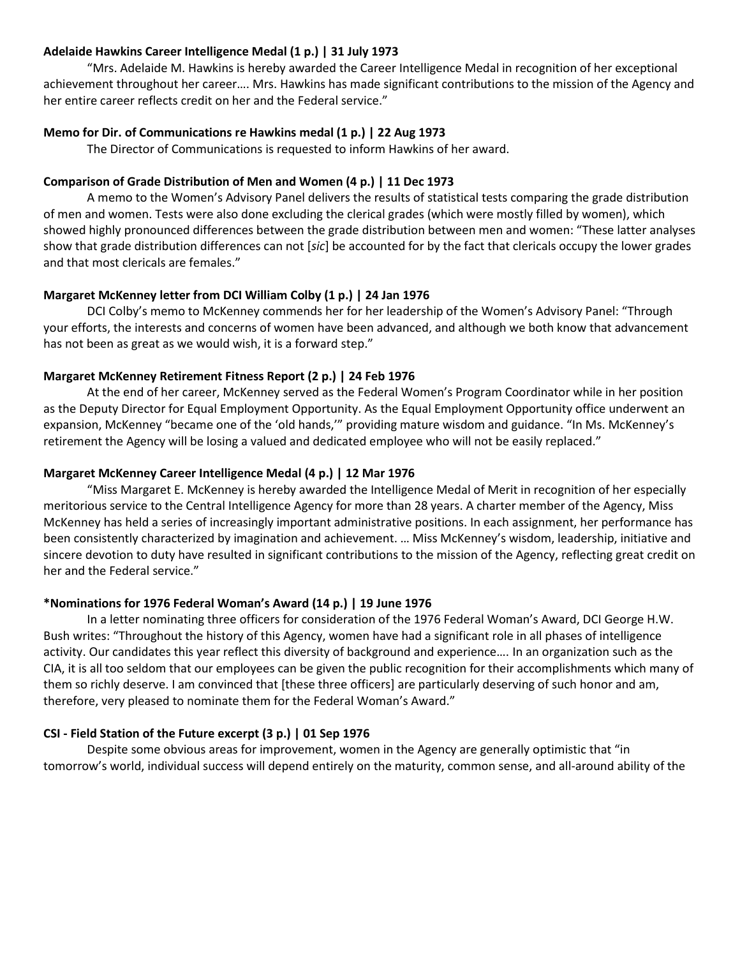## **Adelaide Hawkins Career Intelligence Medal (1 p.) | 31 July 1973**

"Mrs. Adelaide M. Hawkins is hereby awarded the Career Intelligence Medal in recognition of her exceptional achievement throughout her career…. Mrs. Hawkins has made significant contributions to the mission of the Agency and her entire career reflects credit on her and the Federal service."

## **Memo for Dir. of Communications re Hawkins medal (1 p.) | 22 Aug 1973**

The Director of Communications is requested to inform Hawkins of her award.

## **Comparison of Grade Distribution of Men and Women (4 p.) | 11 Dec 1973**

A memo to the Women's Advisory Panel delivers the results of statistical tests comparing the grade distribution of men and women. Tests were also done excluding the clerical grades (which were mostly filled by women), which showed highly pronounced differences between the grade distribution between men and women: "These latter analyses show that grade distribution differences can not [*sic*] be accounted for by the fact that clericals occupy the lower grades and that most clericals are females."

## **Margaret McKenney letter from DCI William Colby (1 p.) | 24 Jan 1976**

DCI Colby's memo to McKenney commends her for her leadership of the Women's Advisory Panel: "Through your efforts, the interests and concerns of women have been advanced, and although we both know that advancement has not been as great as we would wish, it is a forward step."

## **Margaret McKenney Retirement Fitness Report (2 p.) | 24 Feb 1976**

At the end of her career, McKenney served as the Federal Women's Program Coordinator while in her position as the Deputy Director for Equal Employment Opportunity. As the Equal Employment Opportunity office underwent an expansion, McKenney "became one of the 'old hands,'" providing mature wisdom and guidance. "In Ms. McKenney's retirement the Agency will be losing a valued and dedicated employee who will not be easily replaced."

### **Margaret McKenney Career Intelligence Medal (4 p.) | 12 Mar 1976**

"Miss Margaret E. McKenney is hereby awarded the Intelligence Medal of Merit in recognition of her especially meritorious service to the Central Intelligence Agency for more than 28 years. A charter member of the Agency, Miss McKenney has held a series of increasingly important administrative positions. In each assignment, her performance has been consistently characterized by imagination and achievement. … Miss McKenney's wisdom, leadership, initiative and sincere devotion to duty have resulted in significant contributions to the mission of the Agency, reflecting great credit on her and the Federal service."

# **\*Nominations for 1976 Federal Woman's Award (14 p.) | 19 June 1976**

In a letter nominating three officers for consideration of the 1976 Federal Woman's Award, DCI George H.W. Bush writes: "Throughout the history of this Agency, women have had a significant role in all phases of intelligence activity. Our candidates this year reflect this diversity of background and experience…. In an organization such as the CIA, it is all too seldom that our employees can be given the public recognition for their accomplishments which many of them so richly deserve. I am convinced that [these three officers] are particularly deserving of such honor and am, therefore, very pleased to nominate them for the Federal Woman's Award."

#### **CSI ‐ Field Station of the Future excerpt (3 p.) | 01 Sep 1976**

Despite some obvious areas for improvement, women in the Agency are generally optimistic that "in tomorrow's world, individual success will depend entirely on the maturity, common sense, and all-around ability of the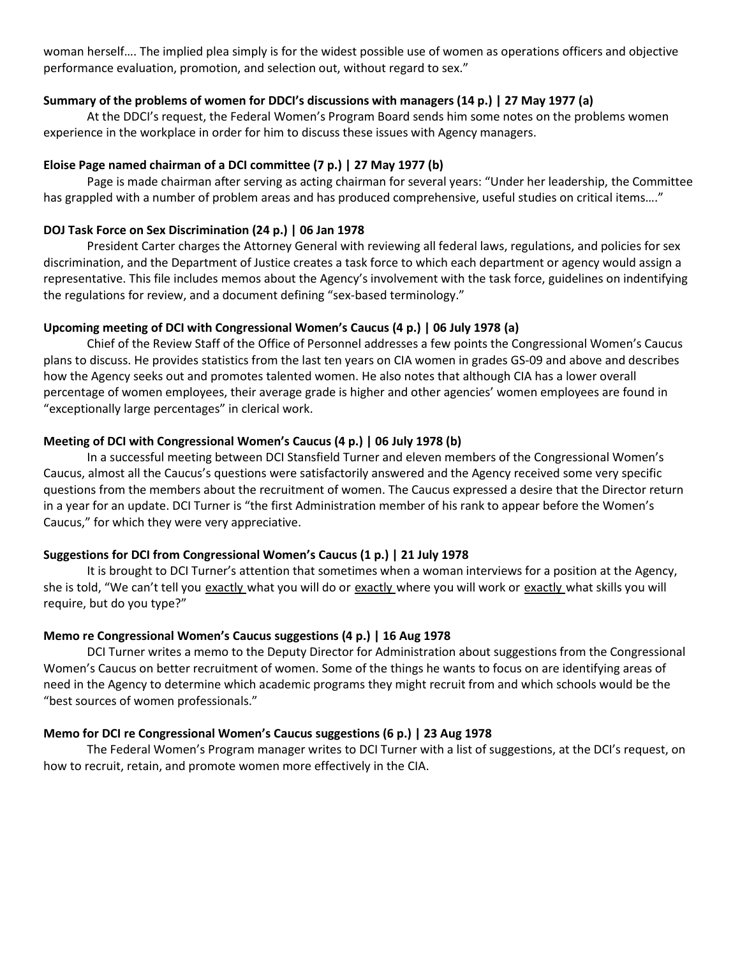woman herself…. The implied plea simply is for the widest possible use of women as operations officers and objective performance evaluation, promotion, and selection out, without regard to sex."

# **Summary of the problems of women for DDCI's discussions with managers (14 p.) | 27 May 1977 (a)**

At the DDCI's request, the Federal Women's Program Board sends him some notes on the problems women experience in the workplace in order for him to discuss these issues with Agency managers.

## **Eloise Page named chairman of a DCI committee (7 p.) | 27 May 1977 (b)**

Page is made chairman after serving as acting chairman for several years: "Under her leadership, the Committee has grappled with a number of problem areas and has produced comprehensive, useful studies on critical items…."

## **DOJ Task Force on Sex Discrimination (24 p.) | 06 Jan 1978**

President Carter charges the Attorney General with reviewing all federal laws, regulations, and policies for sex discrimination, and the Department of Justice creates a task force to which each department or agency would assign a representative. This file includes memos about the Agency's involvement with the task force, guidelines on indentifying the regulations for review, and a document defining "sex-based terminology."

## **Upcoming meeting of DCI with Congressional Women's Caucus (4 p.) | 06 July 1978 (a)**

Chief of the Review Staff of the Office of Personnel addresses a few points the Congressional Women's Caucus plans to discuss. He provides statistics from the last ten years on CIA women in grades GS‐09 and above and describes how the Agency seeks out and promotes talented women. He also notes that although CIA has a lower overall percentage of women employees, their average grade is higher and other agencies' women employees are found in "exceptionally large percentages" in clerical work.

## **Meeting of DCI with Congressional Women's Caucus (4 p.) | 06 July 1978 (b)**

In a successful meeting between DCI Stansfield Turner and eleven members of the Congressional Women's Caucus, almost all the Caucus's questions were satisfactorily answered and the Agency received some very specific questions from the members about the recruitment of women. The Caucus expressed a desire that the Director return in a year for an update. DCI Turner is "the first Administration member of his rank to appear before the Women's Caucus," for which they were very appreciative.

#### **Suggestions for DCI from Congressional Women's Caucus (1 p.) | 21 July 1978**

It is brought to DCI Turner's attention that sometimes when a woman interviews for a position at the Agency, she is told, "We can't tell you exactly what you will do or exactly where you will work or exactly what skills you will require, but do you type?"

#### **Memo re Congressional Women's Caucus suggestions (4 p.) | 16 Aug 1978**

DCI Turner writes a memo to the Deputy Director for Administration about suggestions from the Congressional Women's Caucus on better recruitment of women. Some of the things he wants to focus on are identifying areas of need in the Agency to determine which academic programs they might recruit from and which schools would be the "best sources of women professionals."

#### **Memo for DCI re Congressional Women's Caucus suggestions (6 p.) | 23 Aug 1978**

The Federal Women's Program manager writes to DCI Turner with a list of suggestions, at the DCI's request, on how to recruit, retain, and promote women more effectively in the CIA.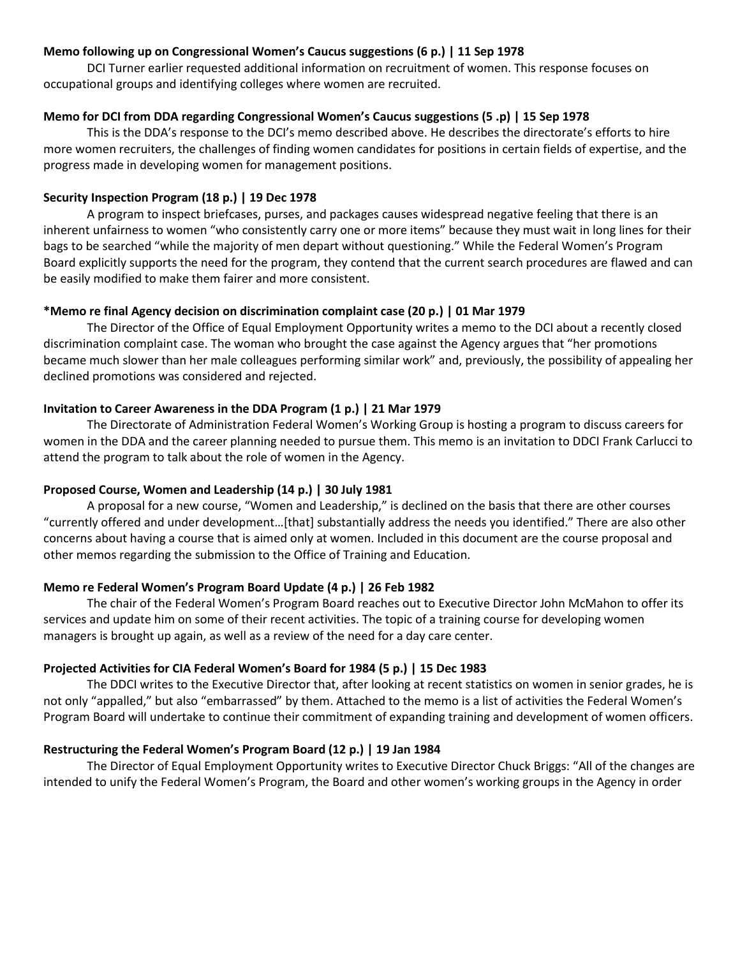# **Memo following up on Congressional Women's Caucus suggestions (6 p.) | 11 Sep 1978**

DCI Turner earlier requested additional information on recruitment of women. This response focuses on occupational groups and identifying colleges where women are recruited.

## **Memo for DCI from DDA regarding Congressional Women's Caucus suggestions (5 .p) | 15 Sep 1978**

This is the DDA's response to the DCI's memo described above. He describes the directorate's efforts to hire more women recruiters, the challenges of finding women candidates for positions in certain fields of expertise, and the progress made in developing women for management positions.

#### **Security Inspection Program (18 p.) | 19 Dec 1978**

A program to inspect briefcases, purses, and packages causes widespread negative feeling that there is an inherent unfairness to women "who consistently carry one or more items" because they must wait in long lines for their bags to be searched "while the majority of men depart without questioning." While the Federal Women's Program Board explicitly supports the need for the program, they contend that the current search procedures are flawed and can be easily modified to make them fairer and more consistent.

#### **\*Memo re final Agency decision on discrimination complaint case (20 p.) | 01 Mar 1979**

The Director of the Office of Equal Employment Opportunity writes a memo to the DCI about a recently closed discrimination complaint case. The woman who brought the case against the Agency argues that "her promotions became much slower than her male colleagues performing similar work" and, previously, the possibility of appealing her declined promotions was considered and rejected.

### **Invitation to Career Awareness in the DDA Program (1 p.) | 21 Mar 1979**

The Directorate of Administration Federal Women's Working Group is hosting a program to discuss careers for women in the DDA and the career planning needed to pursue them. This memo is an invitation to DDCI Frank Carlucci to attend the program to talk about the role of women in the Agency.

#### **Proposed Course, Women and Leadership (14 p.) | 30 July 1981**

A proposal for a new course, "Women and Leadership," is declined on the basis that there are other courses "currently offered and under development…[that] substantially address the needs you identified." There are also other concerns about having a course that is aimed only at women. Included in this document are the course proposal and other memos regarding the submission to the Office of Training and Education.

#### **Memo re Federal Women's Program Board Update (4 p.) | 26 Feb 1982**

The chair of the Federal Women's Program Board reaches out to Executive Director John McMahon to offer its services and update him on some of their recent activities. The topic of a training course for developing women managers is brought up again, as well as a review of the need for a day care center.

#### **Projected Activities for CIA Federal Women's Board for 1984 (5 p.) | 15 Dec 1983**

The DDCI writes to the Executive Director that, after looking at recent statistics on women in senior grades, he is not only "appalled," but also "embarrassed" by them. Attached to the memo is a list of activities the Federal Women's Program Board will undertake to continue their commitment of expanding training and development of women officers.

## **Restructuring the Federal Women's Program Board (12 p.) | 19 Jan 1984**

The Director of Equal Employment Opportunity writes to Executive Director Chuck Briggs: "All of the changes are intended to unify the Federal Women's Program, the Board and other women's working groups in the Agency in order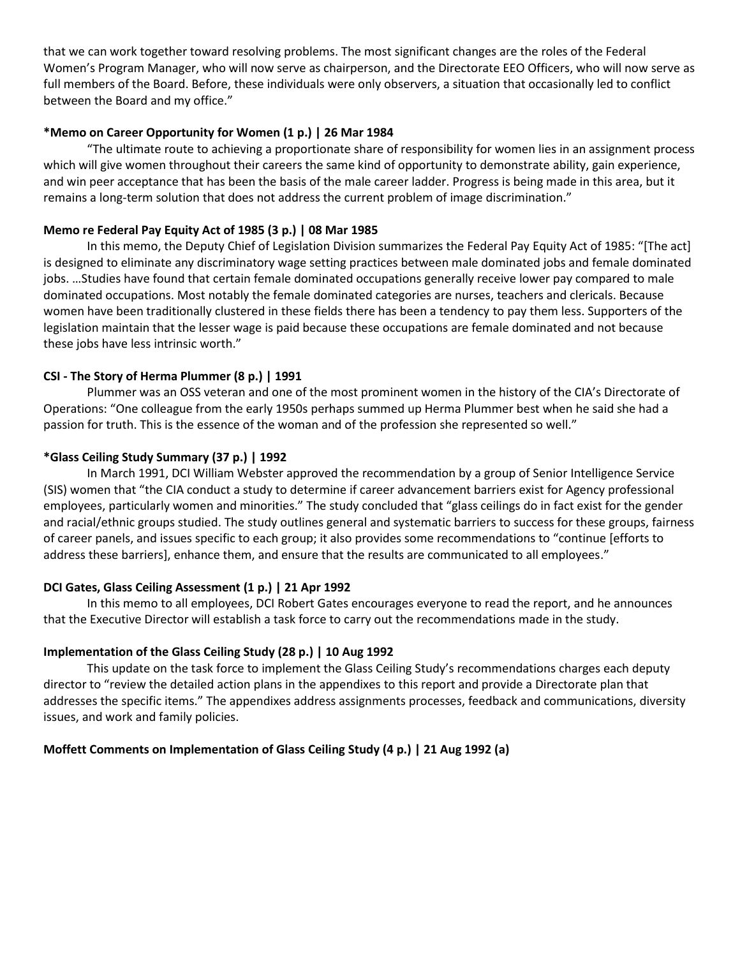that we can work together toward resolving problems. The most significant changes are the roles of the Federal Women's Program Manager, who will now serve as chairperson, and the Directorate EEO Officers, who will now serve as full members of the Board. Before, these individuals were only observers, a situation that occasionally led to conflict between the Board and my office."

# **\*Memo on Career Opportunity for Women (1 p.) | 26 Mar 1984**

"The ultimate route to achieving a proportionate share of responsibility for women lies in an assignment process which will give women throughout their careers the same kind of opportunity to demonstrate ability, gain experience, and win peer acceptance that has been the basis of the male career ladder. Progress is being made in this area, but it remains a long-term solution that does not address the current problem of image discrimination."

## **Memo re Federal Pay Equity Act of 1985 (3 p.) | 08 Mar 1985**

In this memo, the Deputy Chief of Legislation Division summarizes the Federal Pay Equity Act of 1985: "[The act] is designed to eliminate any discriminatory wage setting practices between male dominated jobs and female dominated jobs. …Studies have found that certain female dominated occupations generally receive lower pay compared to male dominated occupations. Most notably the female dominated categories are nurses, teachers and clericals. Because women have been traditionally clustered in these fields there has been a tendency to pay them less. Supporters of the legislation maintain that the lesser wage is paid because these occupations are female dominated and not because these jobs have less intrinsic worth."

## **CSI ‐ The Story of Herma Plummer (8 p.) | 1991**

Plummer was an OSS veteran and one of the most prominent women in the history of the CIA's Directorate of Operations: "One colleague from the early 1950s perhaps summed up Herma Plummer best when he said she had a passion for truth. This is the essence of the woman and of the profession she represented so well."

#### **\*Glass Ceiling Study Summary (37 p.) | 1992**

In March 1991, DCI William Webster approved the recommendation by a group of Senior Intelligence Service (SIS) women that "the CIA conduct a study to determine if career advancement barriers exist for Agency professional employees, particularly women and minorities." The study concluded that "glass ceilings do in fact exist for the gender and racial/ethnic groups studied. The study outlines general and systematic barriers to success for these groups, fairness of career panels, and issues specific to each group; it also provides some recommendations to "continue [efforts to address these barriers], enhance them, and ensure that the results are communicated to all employees."

#### **DCI Gates, Glass Ceiling Assessment (1 p.) | 21 Apr 1992**

In this memo to all employees, DCI Robert Gates encourages everyone to read the report, and he announces that the Executive Director will establish a task force to carry out the recommendations made in the study.

#### **Implementation of the Glass Ceiling Study (28 p.) | 10 Aug 1992**

This update on the task force to implement the Glass Ceiling Study's recommendations charges each deputy director to "review the detailed action plans in the appendixes to this report and provide a Directorate plan that addresses the specific items." The appendixes address assignments processes, feedback and communications, diversity issues, and work and family policies.

# **Moffett Comments on Implementation of Glass Ceiling Study (4 p.) | 21 Aug 1992 (a)**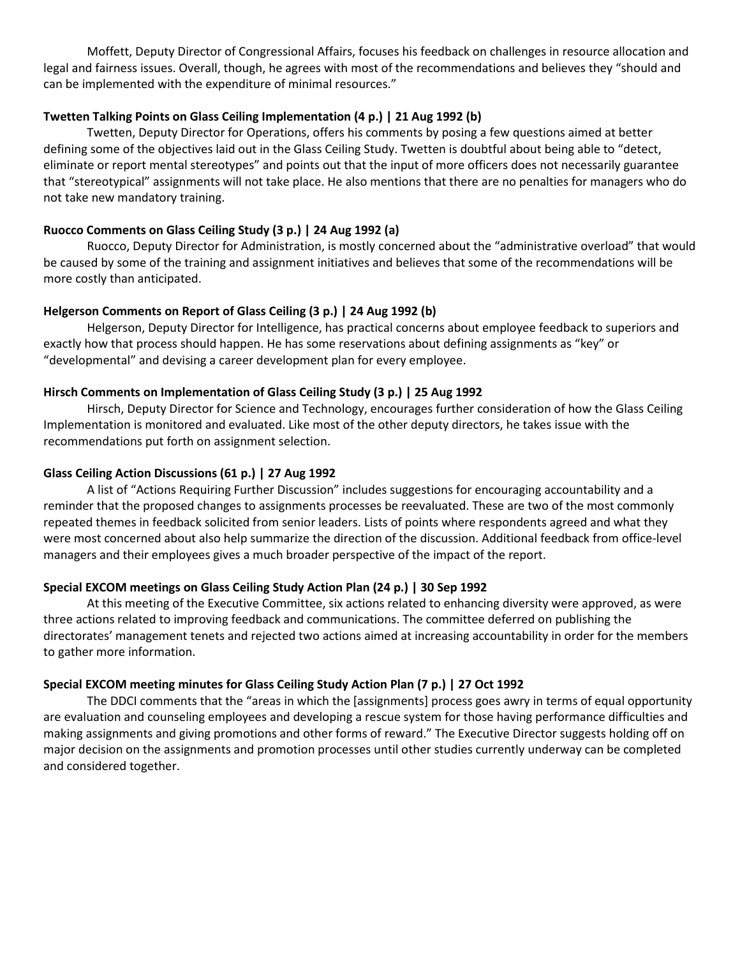Moffett, Deputy Director of Congressional Affairs, focuses his feedback on challenges in resource allocation and legal and fairness issues. Overall, though, he agrees with most of the recommendations and believes they "should and can be implemented with the expenditure of minimal resources."

## **Twetten Talking Points on Glass Ceiling Implementation (4 p.) | 21 Aug 1992 (b)**

Twetten, Deputy Director for Operations, offers his comments by posing a few questions aimed at better defining some of the objectives laid out in the Glass Ceiling Study. Twetten is doubtful about being able to "detect, eliminate or report mental stereotypes" and points out that the input of more officers does not necessarily guarantee that "stereotypical" assignments will not take place. He also mentions that there are no penalties for managers who do not take new mandatory training.

## **Ruocco Comments on Glass Ceiling Study (3 p.) | 24 Aug 1992 (a)**

Ruocco, Deputy Director for Administration, is mostly concerned about the "administrative overload" that would be caused by some of the training and assignment initiatives and believes that some of the recommendations will be more costly than anticipated.

## **Helgerson Comments on Report of Glass Ceiling (3 p.) | 24 Aug 1992 (b)**

Helgerson, Deputy Director for Intelligence, has practical concerns about employee feedback to superiors and exactly how that process should happen. He has some reservations about defining assignments as "key" or "developmental" and devising a career development plan for every employee.

## **Hirsch Comments on Implementation of Glass Ceiling Study (3 p.) | 25 Aug 1992**

Hirsch, Deputy Director for Science and Technology, encourages further consideration of how the Glass Ceiling Implementation is monitored and evaluated. Like most of the other deputy directors, he takes issue with the recommendations put forth on assignment selection.

#### **Glass Ceiling Action Discussions (61 p.) | 27 Aug 1992**

A list of "Actions Requiring Further Discussion" includes suggestions for encouraging accountability and a reminder that the proposed changes to assignments processes be reevaluated. These are two of the most commonly repeated themes in feedback solicited from senior leaders. Lists of points where respondents agreed and what they were most concerned about also help summarize the direction of the discussion. Additional feedback from office-level managers and their employees gives a much broader perspective of the impact of the report.

## **Special EXCOM meetings on Glass Ceiling Study Action Plan (24 p.) | 30 Sep 1992**

At this meeting of the Executive Committee, six actions related to enhancing diversity were approved, as were three actions related to improving feedback and communications. The committee deferred on publishing the directorates' management tenets and rejected two actions aimed at increasing accountability in order for the members to gather more information.

# **Special EXCOM meeting minutes for Glass Ceiling Study Action Plan (7 p.) | 27 Oct 1992**

The DDCI comments that the "areas in which the [assignments] process goes awry in terms of equal opportunity are evaluation and counseling employees and developing a rescue system for those having performance difficulties and making assignments and giving promotions and other forms of reward." The Executive Director suggests holding off on major decision on the assignments and promotion processes until other studies currently underway can be completed and considered together.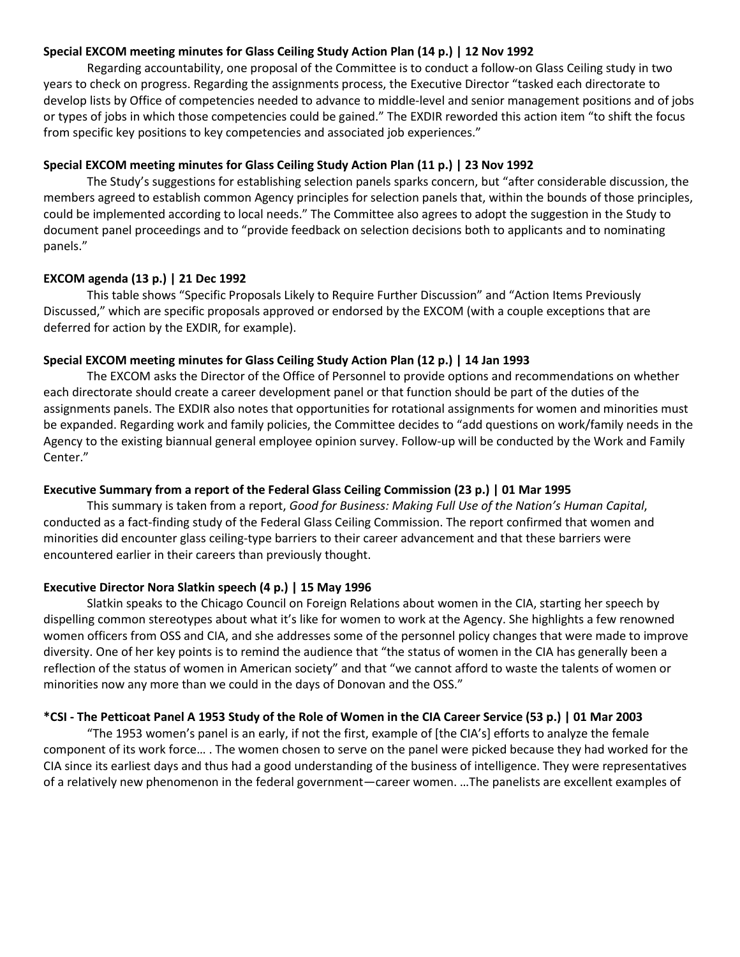## **Special EXCOM meeting minutes for Glass Ceiling Study Action Plan (14 p.) | 12 Nov 1992**

Regarding accountability, one proposal of the Committee is to conduct a follow‐on Glass Ceiling study in two years to check on progress. Regarding the assignments process, the Executive Director "tasked each directorate to develop lists by Office of competencies needed to advance to middle‐level and senior management positions and of jobs or types of jobs in which those competencies could be gained." The EXDIR reworded this action item "to shift the focus from specific key positions to key competencies and associated job experiences."

## **Special EXCOM meeting minutes for Glass Ceiling Study Action Plan (11 p.) | 23 Nov 1992**

The Study's suggestions for establishing selection panels sparks concern, but "after considerable discussion, the members agreed to establish common Agency principles for selection panels that, within the bounds of those principles, could be implemented according to local needs." The Committee also agrees to adopt the suggestion in the Study to document panel proceedings and to "provide feedback on selection decisions both to applicants and to nominating panels."

# **EXCOM agenda (13 p.) | 21 Dec 1992**

This table shows "Specific Proposals Likely to Require Further Discussion" and "Action Items Previously Discussed," which are specific proposals approved or endorsed by the EXCOM (with a couple exceptions that are deferred for action by the EXDIR, for example).

# **Special EXCOM meeting minutes for Glass Ceiling Study Action Plan (12 p.) | 14 Jan 1993**

The EXCOM asks the Director of the Office of Personnel to provide options and recommendations on whether each directorate should create a career development panel or that function should be part of the duties of the assignments panels. The EXDIR also notes that opportunities for rotational assignments for women and minorities must be expanded. Regarding work and family policies, the Committee decides to "add questions on work/family needs in the Agency to the existing biannual general employee opinion survey. Follow‐up will be conducted by the Work and Family Center."

# **Executive Summary from a report of the Federal Glass Ceiling Commission (23 p.) | 01 Mar 1995**

This summary is taken from a report, *Good for Business: Making Full Use of the Nation's Human Capital*, conducted as a fact‐finding study of the Federal Glass Ceiling Commission. The report confirmed that women and minorities did encounter glass ceiling‐type barriers to their career advancement and that these barriers were encountered earlier in their careers than previously thought.

# **Executive Director Nora Slatkin speech (4 p.) | 15 May 1996**

Slatkin speaks to the Chicago Council on Foreign Relations about women in the CIA, starting her speech by dispelling common stereotypes about what it's like for women to work at the Agency. She highlights a few renowned women officers from OSS and CIA, and she addresses some of the personnel policy changes that were made to improve diversity. One of her key points is to remind the audience that "the status of women in the CIA has generally been a reflection of the status of women in American society" and that "we cannot afford to waste the talents of women or minorities now any more than we could in the days of Donovan and the OSS."

# **\*CSI ‐ The Petticoat Panel A 1953 Study of the Role of Women in the CIA Career Service (53 p.) | 01 Mar 2003**

"The 1953 women's panel is an early, if not the first, example of [the CIA's] efforts to analyze the female component of its work force… . The women chosen to serve on the panel were picked because they had worked for the CIA since its earliest days and thus had a good understanding of the business of intelligence. They were representatives of a relatively new phenomenon in the federal government—career women. …The panelists are excellent examples of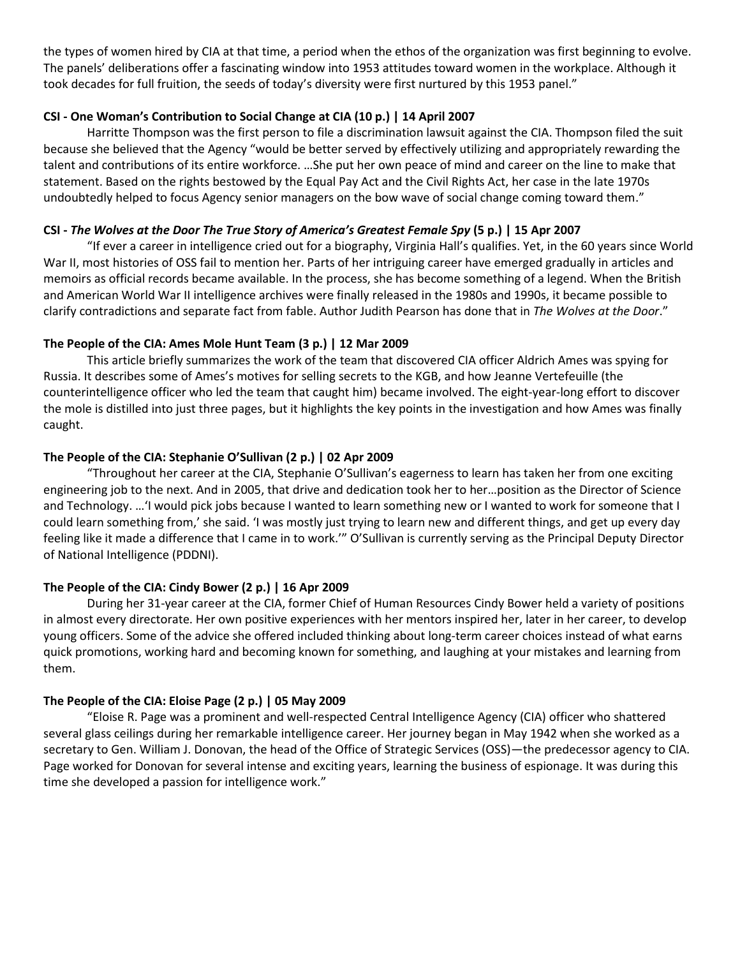the types of women hired by CIA at that time, a period when the ethos of the organization was first beginning to evolve. The panels' deliberations offer a fascinating window into 1953 attitudes toward women in the workplace. Although it took decades for full fruition, the seeds of today's diversity were first nurtured by this 1953 panel."

# **CSI ‐ One Woman's Contribution to Social Change at CIA (10 p.) | 14 April 2007**

Harritte Thompson was the first person to file a discrimination lawsuit against the CIA. Thompson filed the suit because she believed that the Agency "would be better served by effectively utilizing and appropriately rewarding the talent and contributions of its entire workforce. …She put her own peace of mind and career on the line to make that statement. Based on the rights bestowed by the Equal Pay Act and the Civil Rights Act, her case in the late 1970s undoubtedly helped to focus Agency senior managers on the bow wave of social change coming toward them."

# **CSI ‐** *The Wolves at the Door The True Story of America's Greatest Female Spy* **(5 p.) | 15 Apr 2007**

"If ever a career in intelligence cried out for a biography, Virginia Hall's qualifies. Yet, in the 60 years since World War II, most histories of OSS fail to mention her. Parts of her intriguing career have emerged gradually in articles and memoirs as official records became available. In the process, she has become something of a legend. When the British and American World War II intelligence archives were finally released in the 1980s and 1990s, it became possible to clarify contradictions and separate fact from fable. Author Judith Pearson has done that in *The Wolves at the Door*."

# **The People of the CIA: Ames Mole Hunt Team (3 p.) | 12 Mar 2009**

This article briefly summarizes the work of the team that discovered CIA officer Aldrich Ames was spying for Russia. It describes some of Ames's motives for selling secrets to the KGB, and how Jeanne Vertefeuille (the counterintelligence officer who led the team that caught him) became involved. The eight‐year‐long effort to discover the mole is distilled into just three pages, but it highlights the key points in the investigation and how Ames was finally caught.

# **The People of the CIA: Stephanie O'Sullivan (2 p.) | 02 Apr 2009**

"Throughout her career at the CIA, Stephanie O'Sullivan's eagerness to learn has taken her from one exciting engineering job to the next. And in 2005, that drive and dedication took her to her…position as the Director of Science and Technology. …'I would pick jobs because I wanted to learn something new or I wanted to work for someone that I could learn something from,' she said. 'I was mostly just trying to learn new and different things, and get up every day feeling like it made a difference that I came in to work.'" O'Sullivan is currently serving as the Principal Deputy Director of National Intelligence (PDDNI).

# **The People of the CIA: Cindy Bower (2 p.) | 16 Apr 2009**

During her 31‐year career at the CIA, former Chief of Human Resources Cindy Bower held a variety of positions in almost every directorate. Her own positive experiences with her mentors inspired her, later in her career, to develop young officers. Some of the advice she offered included thinking about long‐term career choices instead of what earns quick promotions, working hard and becoming known for something, and laughing at your mistakes and learning from them.

# **The People of the CIA: Eloise Page (2 p.) | 05 May 2009**

"Eloise R. Page was a prominent and well‐respected Central Intelligence Agency (CIA) officer who shattered several glass ceilings during her remarkable intelligence career. Her journey began in May 1942 when she worked as a secretary to Gen. William J. Donovan, the head of the Office of Strategic Services (OSS)—the predecessor agency to CIA. Page worked for Donovan for several intense and exciting years, learning the business of espionage. It was during this time she developed a passion for intelligence work."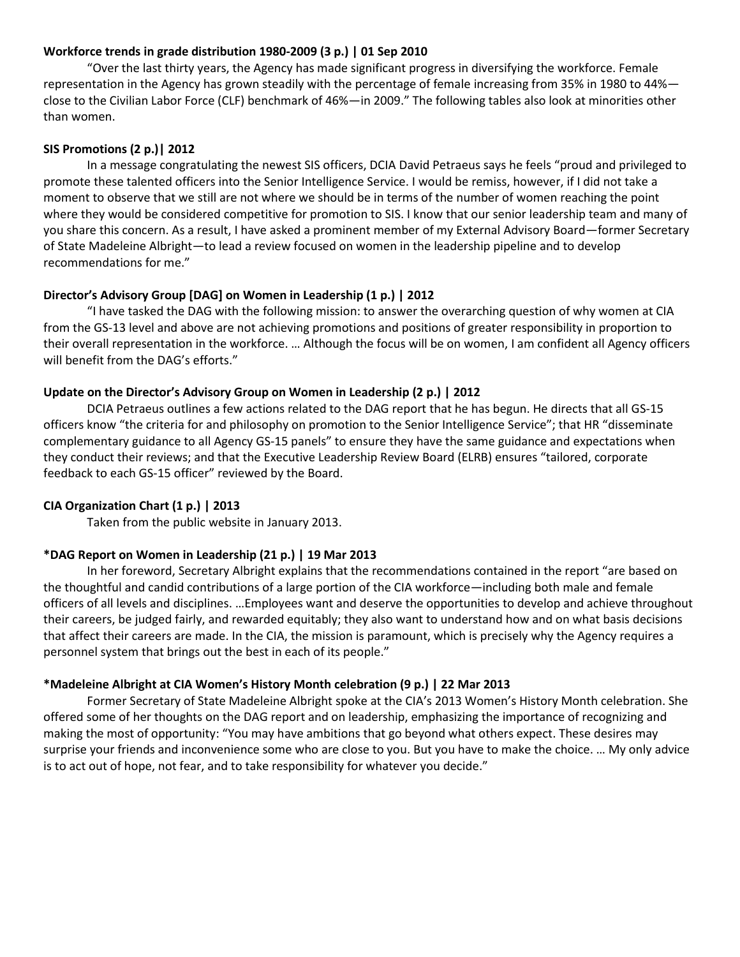## **Workforce trends in grade distribution 1980‐2009 (3 p.) | 01 Sep 2010**

"Over the last thirty years, the Agency has made significant progress in diversifying the workforce. Female representation in the Agency has grown steadily with the percentage of female increasing from 35% in 1980 to 44% close to the Civilian Labor Force (CLF) benchmark of 46%—in 2009." The following tables also look at minorities other than women.

#### **SIS Promotions (2 p.)| 2012**

In a message congratulating the newest SIS officers, DCIA David Petraeus says he feels "proud and privileged to promote these talented officers into the Senior Intelligence Service. I would be remiss, however, if I did not take a moment to observe that we still are not where we should be in terms of the number of women reaching the point where they would be considered competitive for promotion to SIS. I know that our senior leadership team and many of you share this concern. As a result, I have asked a prominent member of my External Advisory Board—former Secretary of State Madeleine Albright—to lead a review focused on women in the leadership pipeline and to develop recommendations for me."

## **Director's Advisory Group [DAG] on Women in Leadership (1 p.) | 2012**

"I have tasked the DAG with the following mission: to answer the overarching question of why women at CIA from the GS-13 level and above are not achieving promotions and positions of greater responsibility in proportion to their overall representation in the workforce. … Although the focus will be on women, I am confident all Agency officers will benefit from the DAG's efforts."

## **Update on the Director's Advisory Group on Women in Leadership (2 p.) | 2012**

DCIA Petraeus outlines a few actions related to the DAG report that he has begun. He directs that all GS‐15 officers know "the criteria for and philosophy on promotion to the Senior Intelligence Service"; that HR "disseminate complementary guidance to all Agency GS‐15 panels" to ensure they have the same guidance and expectations when they conduct their reviews; and that the Executive Leadership Review Board (ELRB) ensures "tailored, corporate feedback to each GS‐15 officer" reviewed by the Board.

# **CIA Organization Chart (1 p.) | 2013**

Taken from the public website in January 2013.

#### **\*DAG Report on Women in Leadership (21 p.) | 19 Mar 2013**

In her foreword, Secretary Albright explains that the recommendations contained in the report "are based on the thoughtful and candid contributions of a large portion of the CIA workforce—including both male and female officers of all levels and disciplines. …Employees want and deserve the opportunities to develop and achieve throughout their careers, be judged fairly, and rewarded equitably; they also want to understand how and on what basis decisions that affect their careers are made. In the CIA, the mission is paramount, which is precisely why the Agency requires a personnel system that brings out the best in each of its people."

#### **\*Madeleine Albright at CIA Women's History Month celebration (9 p.) | 22 Mar 2013**

Former Secretary of State Madeleine Albright spoke at the CIA's 2013 Women's History Month celebration. She offered some of her thoughts on the DAG report and on leadership, emphasizing the importance of recognizing and making the most of opportunity: "You may have ambitions that go beyond what others expect. These desires may surprise your friends and inconvenience some who are close to you. But you have to make the choice. … My only advice is to act out of hope, not fear, and to take responsibility for whatever you decide."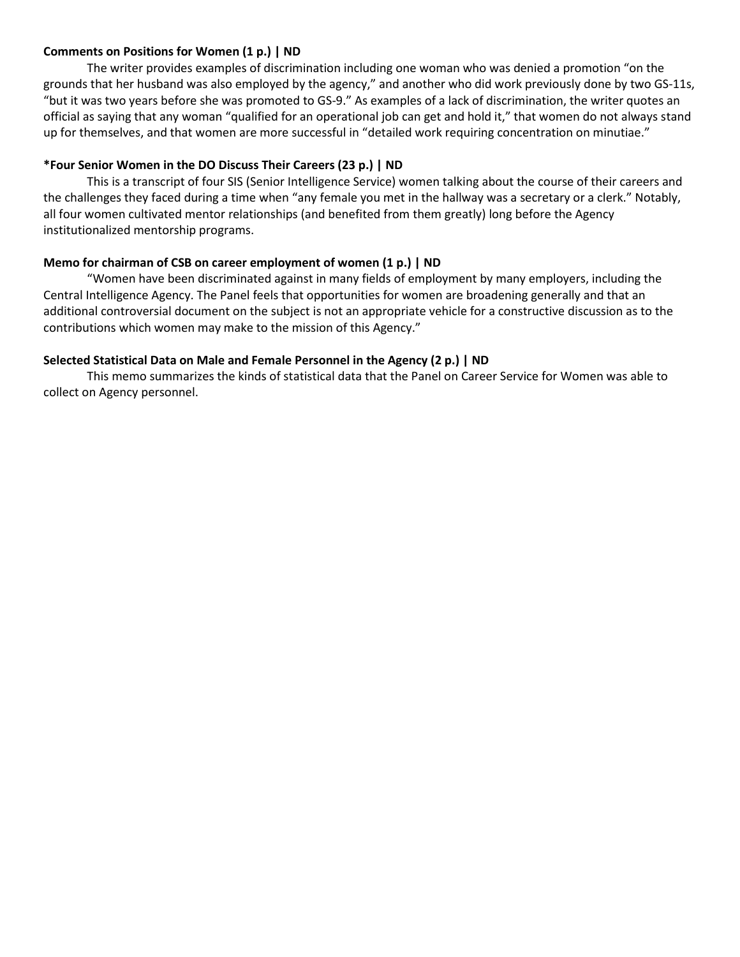## **Comments on Positions for Women (1 p.) | ND**

The writer provides examples of discrimination including one woman who was denied a promotion "on the grounds that her husband was also employed by the agency," and another who did work previously done by two GS‐11s, "but it was two years before she was promoted to GS‐9." As examples of a lack of discrimination, the writer quotes an official as saying that any woman "qualified for an operational job can get and hold it," that women do not always stand up for themselves, and that women are more successful in "detailed work requiring concentration on minutiae."

# **\*Four Senior Women in the DO Discuss Their Careers (23 p.) | ND**

This is a transcript of four SIS (Senior Intelligence Service) women talking about the course of their careers and the challenges they faced during a time when "any female you met in the hallway was a secretary or a clerk." Notably, all four women cultivated mentor relationships (and benefited from them greatly) long before the Agency institutionalized mentorship programs.

# **Memo for chairman of CSB on career employment of women (1 p.) | ND**

"Women have been discriminated against in many fields of employment by many employers, including the Central Intelligence Agency. The Panel feels that opportunities for women are broadening generally and that an additional controversial document on the subject is not an appropriate vehicle for a constructive discussion as to the contributions which women may make to the mission of this Agency."

# **Selected Statistical Data on Male and Female Personnel in the Agency (2 p.) | ND**

This memo summarizes the kinds of statistical data that the Panel on Career Service for Women was able to collect on Agency personnel.